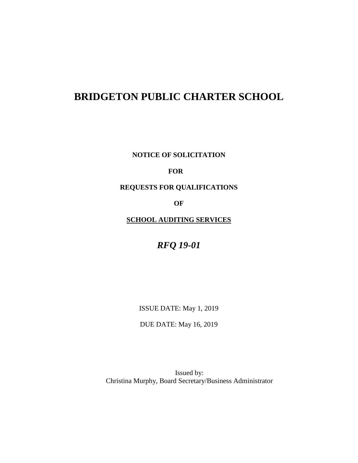# **BRIDGETON PUBLIC CHARTER SCHOOL**

**NOTICE OF SOLICITATION**

# **FOR**

**REQUESTS FOR QUALIFICATIONS**

**OF**

**SCHOOL AUDITING SERVICES**

*RFQ 19-01*

ISSUE DATE: May 1, 2019

DUE DATE: May 16, 2019

Issued by: Christina Murphy, Board Secretary/Business Administrator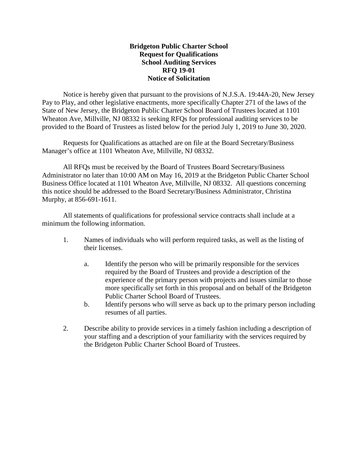## **Bridgeton Public Charter School Request for Qualifications School Auditing Services RFQ 19-01 Notice of Solicitation**

Notice is hereby given that pursuant to the provisions of N.J.S.A. 19:44A-20, New Jersey Pay to Play, and other legislative enactments, more specifically Chapter 271 of the laws of the State of New Jersey, the Bridgeton Public Charter School Board of Trustees located at 1101 Wheaton Ave, Millville, NJ 08332 is seeking RFQs for professional auditing services to be provided to the Board of Trustees as listed below for the period July 1, 2019 to June 30, 2020.

Requests for Qualifications as attached are on file at the Board Secretary/Business Manager's office at 1101 Wheaton Ave, Millville, NJ 08332.

All RFQs must be received by the Board of Trustees Board Secretary/Business Administrator no later than 10:00 AM on May 16, 2019 at the Bridgeton Public Charter School Business Office located at 1101 Wheaton Ave, Millville, NJ 08332. All questions concerning this notice should be addressed to the Board Secretary/Business Administrator, Christina Murphy, at 856-691-1611.

All statements of qualifications for professional service contracts shall include at a minimum the following information.

- 1. Names of individuals who will perform required tasks, as well as the listing of their licenses.
	- a. Identify the person who will be primarily responsible for the services required by the Board of Trustees and provide a description of the experience of the primary person with projects and issues similar to those more specifically set forth in this proposal and on behalf of the Bridgeton Public Charter School Board of Trustees.
	- b. Identify persons who will serve as back up to the primary person including resumes of all parties.
- 2. Describe ability to provide services in a timely fashion including a description of your staffing and a description of your familiarity with the services required by the Bridgeton Public Charter School Board of Trustees.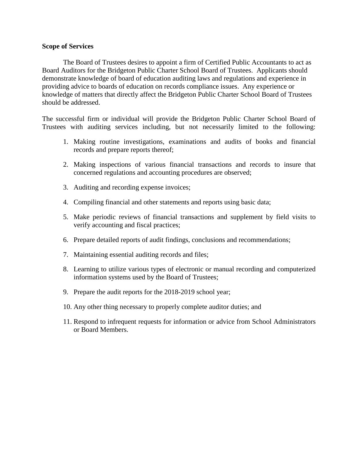## **Scope of Services**

The Board of Trustees desires to appoint a firm of Certified Public Accountants to act as Board Auditors for the Bridgeton Public Charter School Board of Trustees. Applicants should demonstrate knowledge of board of education auditing laws and regulations and experience in providing advice to boards of education on records compliance issues. Any experience or knowledge of matters that directly affect the Bridgeton Public Charter School Board of Trustees should be addressed.

The successful firm or individual will provide the Bridgeton Public Charter School Board of Trustees with auditing services including, but not necessarily limited to the following:

- 1. Making routine investigations, examinations and audits of books and financial records and prepare reports thereof;
- 2. Making inspections of various financial transactions and records to insure that concerned regulations and accounting procedures are observed;
- 3. Auditing and recording expense invoices;
- 4. Compiling financial and other statements and reports using basic data;
- 5. Make periodic reviews of financial transactions and supplement by field visits to verify accounting and fiscal practices;
- 6. Prepare detailed reports of audit findings, conclusions and recommendations;
- 7. Maintaining essential auditing records and files;
- 8. Learning to utilize various types of electronic or manual recording and computerized information systems used by the Board of Trustees;
- 9. Prepare the audit reports for the 2018-2019 school year;
- 10. Any other thing necessary to properly complete auditor duties; and
- 11. Respond to infrequent requests for information or advice from School Administrators or Board Members.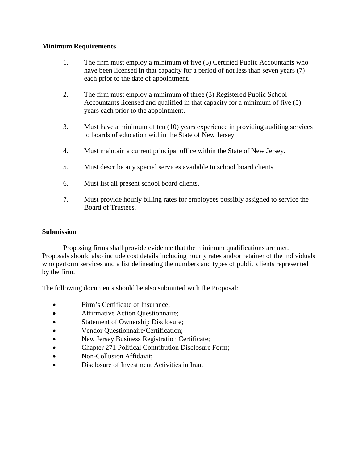## **Minimum Requirements**

- 1. The firm must employ a minimum of five (5) Certified Public Accountants who have been licensed in that capacity for a period of not less than seven years (7) each prior to the date of appointment.
- 2. The firm must employ a minimum of three (3) Registered Public School Accountants licensed and qualified in that capacity for a minimum of five (5) years each prior to the appointment.
- 3. Must have a minimum of ten (10) years experience in providing auditing services to boards of education within the State of New Jersey.
- 4. Must maintain a current principal office within the State of New Jersey.
- 5. Must describe any special services available to school board clients.
- 6. Must list all present school board clients.
- 7. Must provide hourly billing rates for employees possibly assigned to service the Board of Trustees.

# **Submission**

Proposing firms shall provide evidence that the minimum qualifications are met. Proposals should also include cost details including hourly rates and/or retainer of the individuals who perform services and a list delineating the numbers and types of public clients represented by the firm.

The following documents should be also submitted with the Proposal:

- Firm's Certificate of Insurance;
- **Affirmative Action Questionnaire;**
- Statement of Ownership Disclosure;
- Vendor Questionnaire/Certification;
- New Jersey Business Registration Certificate;
- Chapter 271 Political Contribution Disclosure Form;
- Non-Collusion Affidavit:
- Disclosure of Investment Activities in Iran.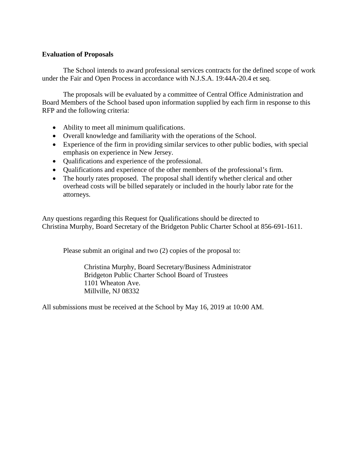## **Evaluation of Proposals**

The School intends to award professional services contracts for the defined scope of work under the Fair and Open Process in accordance with N.J.S.A. 19:44A-20.4 et seq.

The proposals will be evaluated by a committee of Central Office Administration and Board Members of the School based upon information supplied by each firm in response to this RFP and the following criteria:

- Ability to meet all minimum qualifications.
- Overall knowledge and familiarity with the operations of the School.
- Experience of the firm in providing similar services to other public bodies, with special emphasis on experience in New Jersey.
- Qualifications and experience of the professional.
- Qualifications and experience of the other members of the professional's firm.
- The hourly rates proposed. The proposal shall identify whether clerical and other overhead costs will be billed separately or included in the hourly labor rate for the attorneys.

Any questions regarding this Request for Qualifications should be directed to Christina Murphy, Board Secretary of the Bridgeton Public Charter School at 856-691-1611.

Please submit an original and two  $(2)$  copies of the proposal to:

Christina Murphy, Board Secretary/Business Administrator Bridgeton Public Charter School Board of Trustees 1101 Wheaton Ave. Millville, NJ 08332

All submissions must be received at the School by May 16, 2019 at 10:00 AM.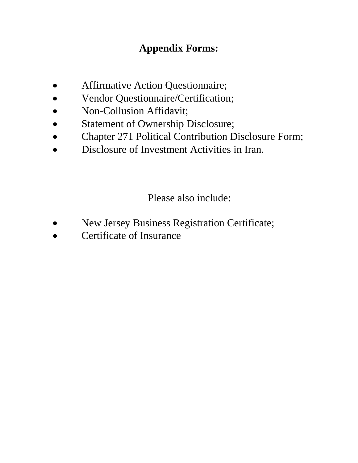# **Appendix Forms:**

- Affirmative Action Questionnaire;
- Vendor Questionnaire/Certification;
- Non-Collusion Affidavit;
- Statement of Ownership Disclosure;
- Chapter 271 Political Contribution Disclosure Form;
- Disclosure of Investment Activities in Iran.

Please also include:

- New Jersey Business Registration Certificate;
- Certificate of Insurance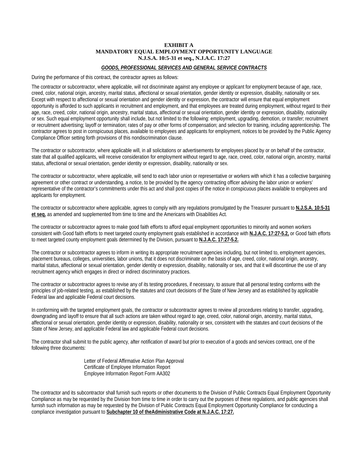#### **EXHIBIT A MANDATORY EQUAL EMPLOYMENT OPPORTUNITY LANGUAGE N.J.S.A. 10:5-31 et seq., N.J.A.C. 17:27**

#### *GOODS, PROFESSIONAL SERVICES AND GENERAL SERVICE CONTRACTS*

During the performance of this contract, the contractor agrees as follows:

The contractor or subcontractor, where applicable, will not discriminate against any employee or applicant for employment because of age, race, creed, color, national origin, ancestry, marital status, affectional or sexual orientation, gender identity or expression, disability, nationality or sex. Except with respect to affectional or sexual orientation and gender identity or expression, the contractor will ensure that equal employment opportunity is afforded to such applicants in recruitment and employment, and that employees are treated during employment, without regard to their age, race, creed, color, national origin, ancestry, marital status, affectional or sexual orientation, gender identity or expression, disability, nationality or sex. Such equal employment opportunity shall include, but not limited to the following: employment, upgrading, demotion, or transfer; recruitment or recruitment advertising; layoff or termination; rates of pay or other forms of compensation; and selection for training, including apprenticeship. The contractor agrees to post in conspicuous places, available to employees and applicants for employment, notices to be provided by the Public Agency Compliance Officer setting forth provisions of this nondiscrimination clause.

The contractor or subcontractor, where applicable will, in all solicitations or advertisements for employees placed by or on behalf of the contractor, state that all qualified applicants, will receive consideration for employment without regard to age, race, creed, color, national origin, ancestry, marital status, affectional or sexual orientation, gender identity or expression, disability, nationality or sex.

The contractor or subcontractor, where applicable, will send to each labor union or representative or workers with which it has a collective bargaining agreement or other contract or understanding, a notice, to be provided by the agency contracting officer advising the labor union or workers' representative of the contractor's commitments under this act and shall post copies of the notice in conspicuous places available to employees and applicants for employment.

The contractor or subcontractor where applicable, agrees to comply with any regulations promulgated by the Treasurer pursuant to **N.J.S.A. 10:5-31 et seq.** as amended and supplemented from time to time and the Americans with Disabilities Act.

The contractor or subcontractor agrees to make good faith efforts to afford equal employment opportunities to minority and women workers consistent with Good faith efforts to meet targeted county employment goals established in accordance with **N.J.A.C. 17:27-5.2,** or Good faith efforts to meet targeted county employment goals determined by the Division, pursuant to **N.J.A.C. 17:27-5.2.**

The contractor or subcontractor agrees to inform in writing its appropriate recruitment agencies including, but not limited to, employment agencies, placement bureaus, colleges, universities, labor unions, that it does not discriminate on the basis of age, creed, color, national origin, ancestry, marital status, affectional or sexual orientation, gender identity or expression, disability, nationality or sex, and that it will discontinue the use of any recruitment agency which engages in direct or indirect discriminatory practices.

The contractor or subcontractor agrees to revise any of its testing procedures, if necessary, to assure that all personal testing conforms with the principles of job-related testing, as established by the statutes and court decisions of the State of New Jersey and as established by applicable Federal law and applicable Federal court decisions.

In conforming with the targeted employment goals, the contractor or subcontractor agrees to review all procedures relating to transfer, upgrading, downgrading and layoff to ensure that all such actions are taken without regard to age, creed, color, national origin, ancestry, marital status, affectional or sexual orientation, gender identity or expression, disability, nationality or sex, consistent with the statutes and court decisions of the State of New Jersey, and applicable Federal law and applicable Federal court decisions.

The contractor shall submit to the public agency, after notification of award but prior to execution of a goods and services contract, one of the following three documents:

> Letter of Federal Affirmative Action Plan Approval Certificate of Employee Information Report Employee Information Report Form AA302

The contractor and its subcontractor shall furnish such reports or other documents to the Division of Public Contracts Equal Employment Opportunity Compliance as may be requested by the Division from time to time in order to carry out the purposes of these regulations, and public agencies shall furnish such information as may be requested by the Division of Public Contracts Equal Employment Opportunity Compliance for conducting a compliance investigation pursuant to **Subchapter 10 of theAdministrative Code at N.J.A.C. 17:27.**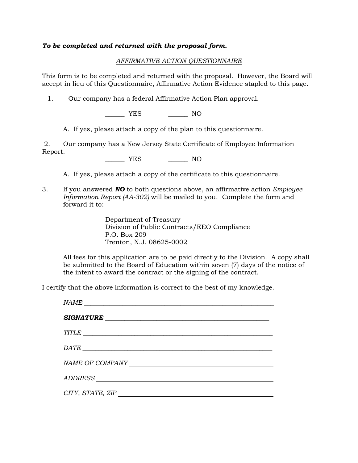## *To be completed and returned with the proposal form.*

## *AFFIRMATIVE ACTION QUESTIONNAIRE*

This form is to be completed and returned with the proposal. However, the Board will accept in lieu of this Questionnaire, Affirmative Action Evidence stapled to this page.

1. Our company has a federal Affirmative Action Plan approval.

\_\_\_\_\_\_ YES \_\_\_\_\_\_ NO

A. If yes, please attach a copy of the plan to this questionnaire.

2. Our company has a New Jersey State Certificate of Employee Information Report.

YES NO

A. If yes, please attach a copy of the certificate to this questionnaire.

3. If you answered *NO* to both questions above, an affirmative action *Employee Information Report (AA-302)* will be mailed to you. Complete the form and forward it to:

> Department of Treasury Division of Public Contracts/EEO Compliance P.O. Box 209 Trenton, N.J. 08625-0002

All fees for this application are to be paid directly to the Division. A copy shall be submitted to the Board of Education within seven (7) days of the notice of the intent to award the contract or the signing of the contract.

I certify that the above information is correct to the best of my knowledge.

| SIGNATURE                                                                                                                                                                                                                      |
|--------------------------------------------------------------------------------------------------------------------------------------------------------------------------------------------------------------------------------|
| TITLE                                                                                                                                                                                                                          |
|                                                                                                                                                                                                                                |
| NAME OF COMPANY THE PROPERTY OF STRAIN AND RESIDENCE AND RESIDENCE AND RESIDENCE ASSESSMENT OF THE STRAIN AND RESIDENCE AND RESIDENCE ASSESSMENT OF THE STRAIN AND RESIDENCE AND RESIDENCE ASSESSMENT OF THE STRAIN AND RESIDE |
|                                                                                                                                                                                                                                |
| CITY, STATE, ZIP                                                                                                                                                                                                               |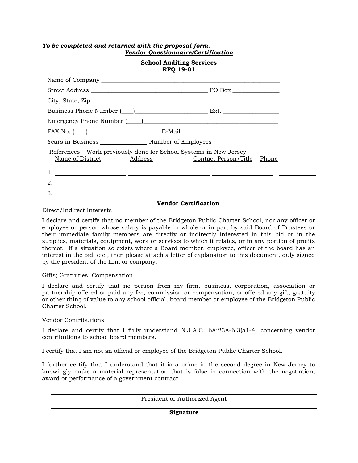## *To be completed and returned with the proposal form. Vendor Questionnaire/Certification*

#### **School Auditing Services RFQ 19-01**

| FAX No. $(\_\_)$ E-Mail $\_\_$                                                                                            |  |
|---------------------------------------------------------------------------------------------------------------------------|--|
|                                                                                                                           |  |
| References – Work previously done for School Systems in New Jersey<br>Name of District Address Contact Person/Title Phone |  |
|                                                                                                                           |  |
| 2. $\overline{\phantom{a}}$                                                                                               |  |
|                                                                                                                           |  |

## **Vendor Certification**

#### Direct/Indirect Interests

I declare and certify that no member of the Bridgeton Public Charter School, nor any officer or employee or person whose salary is payable in whole or in part by said Board of Trustees or their immediate family members are directly or indirectly interested in this bid or in the supplies, materials, equipment, work or services to which it relates, or in any portion of profits thereof. If a situation so exists where a Board member, employee, officer of the board has an interest in the bid, etc., then please attach a letter of explanation to this document, duly signed by the president of the firm or company.

#### Gifts; Gratuities; Compensation

I declare and certify that no person from my firm, business, corporation, association or partnership offered or paid any fee, commission or compensation, or offered any gift, gratuity or other thing of value to any school official, board member or employee of the Bridgeton Public Charter School.

#### Vendor Contributions

I declare and certify that I fully understand N.J.A.C. 6A:23A-6.3(a1-4) concerning vendor contributions to school board members.

I certify that I am not an official or employee of the Bridgeton Public Charter School.

I further certify that I understand that it is a crime in the second degree in New Jersey to knowingly make a material representation that is false in connection with the negotiation, award or performance of a government contract.

President or Authorized Agent

**Signature**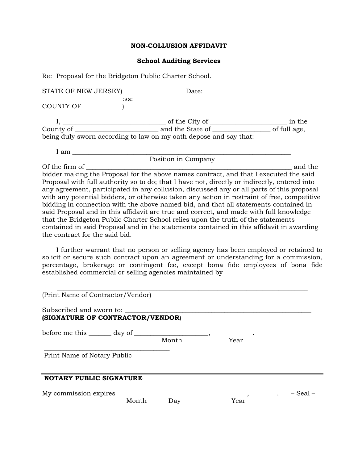#### **NON-COLLUSION AFFIDAVIT**

#### **School Auditing Services**

Re: Proposal for the Bridgeton Public Charter School.

STATE OF NEW JERSEY) Date: :ss: COUNTY OF  $)$  I, \_\_\_\_\_\_\_\_\_\_\_\_\_\_\_\_\_\_\_\_\_\_\_\_\_\_\_\_\_\_\_\_ of the City of \_\_\_\_\_\_\_\_\_\_\_\_\_\_\_\_\_\_\_\_\_\_\_\_ in the County of \_\_\_\_\_\_\_\_\_\_\_\_\_\_\_\_\_\_\_\_\_\_\_\_\_\_ and the State of \_\_\_\_\_\_\_\_\_\_\_\_\_\_\_\_\_\_ of full age, being duly sworn according to law on my oath depose and say that: I am \_\_\_\_\_\_\_\_\_\_\_\_\_\_\_\_\_\_\_\_\_\_\_\_\_\_\_\_\_\_\_\_\_\_\_\_\_\_\_\_\_\_\_\_\_\_\_\_\_\_\_\_\_\_\_\_\_\_\_\_\_\_\_\_\_\_\_\_ Position in Company Of the firm of \_\_\_\_\_\_\_\_\_\_\_\_\_\_\_\_\_\_\_\_\_\_\_\_\_\_\_\_\_\_\_\_\_\_\_\_\_\_\_\_\_\_\_\_\_\_\_\_\_\_\_\_\_\_\_\_\_\_\_\_\_\_\_\_ and the bidder making the Proposal for the above names contract, and that I executed the said

Proposal with full authority so to do; that I have not, directly or indirectly, entered into any agreement, participated in any collusion, discussed any or all parts of this proposal with any potential bidders, or otherwise taken any action in restraint of free, competitive bidding in connection with the above named bid, and that all statements contained in said Proposal and in this affidavit are true and correct, and made with full knowledge that the Bridgeton Public Charter School relies upon the truth of the statements contained in said Proposal and in the statements contained in this affidavit in awarding the contract for the said bid.

 I further warrant that no person or selling agency has been employed or retained to solicit or secure such contract upon an agreement or understanding for a commission, percentage, brokerage or contingent fee, except bona fide employees of bona fide established commercial or selling agencies maintained by

| (Print Name of Contractor/Vendor)                                    |       |       |                                                                                                             |          |
|----------------------------------------------------------------------|-------|-------|-------------------------------------------------------------------------------------------------------------|----------|
| Subscribed and sworn to:<br>(SIGNATURE OF CONTRACTOR/VENDOR)         |       |       |                                                                                                             |          |
| before me this $\_\_\_\_$ day of $\_\_\_\_\_\_\_$ , $\_\_\_\_\_\_\_$ |       |       |                                                                                                             |          |
|                                                                      |       | Month | Year                                                                                                        |          |
| Print Name of Notary Public                                          |       |       |                                                                                                             |          |
| <b>NOTARY PUBLIC SIGNATURE</b>                                       |       |       |                                                                                                             |          |
| My commission expires                                                |       |       | $\overline{\phantom{a}}$ , $\overline{\phantom{a}}$ , $\overline{\phantom{a}}$ , $\overline{\phantom{a}}$ , | – Seal – |
|                                                                      | Month | Day   | Year                                                                                                        |          |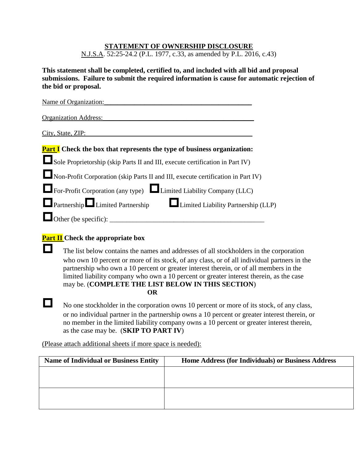## **STATEMENT OF OWNERSHIP DISCLOSURE**

N.J.S.A. 52:25-24.2 (P.L. 1977, c.33, as amended by P.L. 2016, c.43)

**This statement shall be completed, certified to, and included with all bid and proposal submissions. Failure to submit the required information is cause for automatic rejection of the bid or proposal.**

| Name of Organization:                                                            |
|----------------------------------------------------------------------------------|
| Organization Address:                                                            |
| City, State, ZIP:                                                                |
| <b>Part I</b> Check the box that represents the type of business organization:   |
| Sole Proprietorship (skip Parts II and III, execute certification in Part IV)    |
| Non-Profit Corporation (skip Parts II and III, execute certification in Part IV) |
| For-Profit Corporation (any type) Limited Liability Company (LLC)                |
| <b>Example 2</b> Limited Partnership Limited Limited Liability Partnership (LLP) |
| Other (be specific):                                                             |

# **Part II Check the appropriate box**

The list below contains the names and addresses of all stockholders in the corporation who own 10 percent or more of its stock, of any class, or of all individual partners in the partnership who own a 10 percent or greater interest therein, or of all members in the limited liability company who own a 10 percent or greater interest therein, as the case may be. (**COMPLETE THE LIST BELOW IN THIS SECTION**) **OR**

No one stockholder in the corporation owns 10 percent or more of its stock, of any class, or no individual partner in the partnership owns a 10 percent or greater interest therein, or no member in the limited liability company owns a 10 percent or greater interest therein, as the case may be. (**SKIP TO PART IV**)

(Please attach additional sheets if more space is needed):

| <b>Name of Individual or Business Entity</b> | Home Address (for Individuals) or Business Address |
|----------------------------------------------|----------------------------------------------------|
|                                              |                                                    |
|                                              |                                                    |
|                                              |                                                    |
|                                              |                                                    |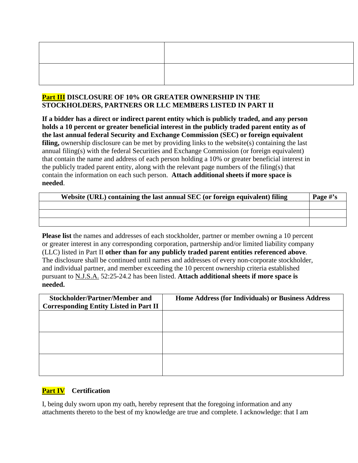# **Part III DISCLOSURE OF 10% OR GREATER OWNERSHIP IN THE STOCKHOLDERS, PARTNERS OR LLC MEMBERS LISTED IN PART II**

**If a bidder has a direct or indirect parent entity which is publicly traded, and any person holds a 10 percent or greater beneficial interest in the publicly traded parent entity as of the last annual federal Security and Exchange Commission (SEC) or foreign equivalent filing,** ownership disclosure can be met by providing links to the website(s) containing the last annual filing(s) with the federal Securities and Exchange Commission (or foreign equivalent) that contain the name and address of each person holding a 10% or greater beneficial interest in the publicly traded parent entity, along with the relevant page numbers of the filing(s) that contain the information on each such person. **Attach additional sheets if more space is needed**.

| Website (URL) containing the last annual SEC (or foreign equivalent) filing |  |  |
|-----------------------------------------------------------------------------|--|--|
|                                                                             |  |  |
|                                                                             |  |  |
|                                                                             |  |  |

**Please list** the names and addresses of each stockholder, partner or member owning a 10 percent or greater interest in any corresponding corporation, partnership and/or limited liability company (LLC) listed in Part II **other than for any publicly traded parent entities referenced above**. The disclosure shall be continued until names and addresses of every non-corporate stockholder, and individual partner, and member exceeding the 10 percent ownership criteria established pursuant to N.J.S.A. 52:25-24.2 has been listed. **Attach additional sheets if more space is needed.**

| <b>Stockholder/Partner/Member and</b>         | Home Address (for Individuals) or Business Address |
|-----------------------------------------------|----------------------------------------------------|
| <b>Corresponding Entity Listed in Part II</b> |                                                    |
|                                               |                                                    |
|                                               |                                                    |
|                                               |                                                    |
|                                               |                                                    |
|                                               |                                                    |
|                                               |                                                    |
|                                               |                                                    |
|                                               |                                                    |
|                                               |                                                    |

# **Part IV Certification**

I, being duly sworn upon my oath, hereby represent that the foregoing information and any attachments thereto to the best of my knowledge are true and complete. I acknowledge: that I am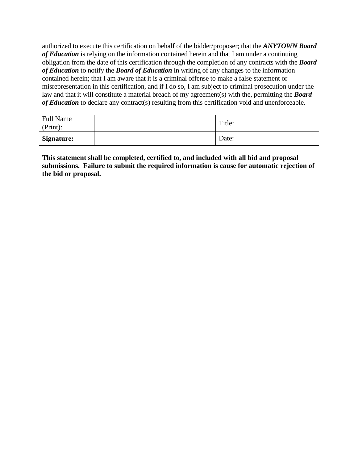authorized to execute this certification on behalf of the bidder/proposer; that the *ANYTOWN Board of Education* is relying on the information contained herein and that I am under a continuing obligation from the date of this certification through the completion of any contracts with the *Board of Education* to notify the *Board of Education* in writing of any changes to the information contained herein; that I am aware that it is a criminal offense to make a false statement or misrepresentation in this certification, and if I do so, I am subject to criminal prosecution under the law and that it will constitute a material breach of my agreement(s) with the, permitting the *Board*  of **Education** to declare any contract(s) resulting from this certification void and unenforceable.

| <b>Full Name</b><br>(Print): | Title: |  |
|------------------------------|--------|--|
| <b>Signature:</b>            | Date:  |  |

**This statement shall be completed, certified to, and included with all bid and proposal submissions. Failure to submit the required information is cause for automatic rejection of the bid or proposal.**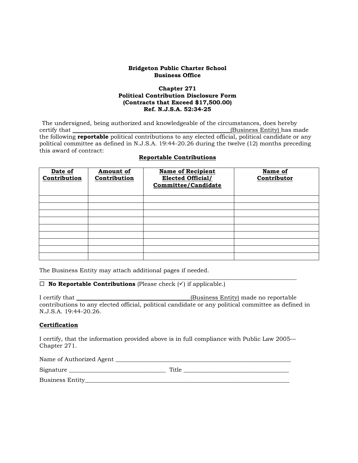#### **Bridgeton Public Charter School Business Office**

#### **Chapter 271 Political Contribution Disclosure Form (Contracts that Exceed \$17,500.00) Ref. N.J.S.A. 52:34-25**

The undersigned, being authorized and knowledgeable of the circumstances, does hereby certify that (Business Entity) has m (Business Entity) has made the following **reportable** political contributions to any elected official, political candidate or any political committee as defined in N.J.S.A. 19:44-20.26 during the twelve (12) months preceding this award of contract:

| Date of<br>Contribution | Amount of<br>Contribution | <b>Name of Recipient</b><br><b>Elected Official/</b><br><b>Committee/Candidate</b> | Name of<br>Contributor |
|-------------------------|---------------------------|------------------------------------------------------------------------------------|------------------------|
|                         |                           |                                                                                    |                        |
|                         |                           |                                                                                    |                        |
|                         |                           |                                                                                    |                        |
|                         |                           |                                                                                    |                        |
|                         |                           |                                                                                    |                        |
|                         |                           |                                                                                    |                        |
|                         |                           |                                                                                    |                        |
|                         |                           |                                                                                    |                        |
|                         |                           |                                                                                    |                        |

#### **Reportable Contributions**

The Business Entity may attach additional pages if needed.

#### $\_$  ,  $\_$  ,  $\_$  ,  $\_$  ,  $\_$  ,  $\_$  ,  $\_$  ,  $\_$  ,  $\_$  ,  $\_$  ,  $\_$  ,  $\_$  ,  $\_$  ,  $\_$  ,  $\_$  ,  $\_$  ,  $\_$  ,  $\_$  ,  $\_$  ,  $\_$  ,  $\_$  ,  $\_$  ,  $\_$  ,  $\_$  ,  $\_$  ,  $\_$  ,  $\_$  ,  $\_$  ,  $\_$  ,  $\_$  ,  $\_$  ,  $\_$  ,  $\_$  ,  $\_$  ,  $\_$  ,  $\_$  ,  $\_$  ,  $\Box$  **No Reportable Contributions** (Please check  $(\checkmark)$  if applicable.)

I certify that \_\_\_\_\_\_\_\_\_\_\_\_\_\_\_\_\_\_\_\_\_\_\_\_\_\_\_\_\_\_\_\_\_\_\_\_\_\_\_(Business Entity) made no reportable contributions to any elected official, political candidate or any political committee as defined in N.J.S.A. 19:44-20.26.

## **Certification**

I certify, that the information provided above is in full compliance with Public Law 2005— Chapter 271.

| Name of Authorized Agent |       |
|--------------------------|-------|
| Signature                | Title |

Business Entity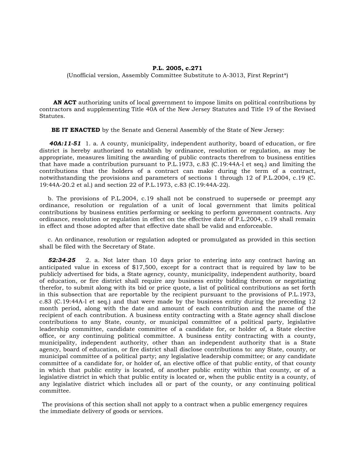#### **P.L. 2005, c.271**

(Unofficial version, Assembly Committee Substitute to A-3013, First Reprint\*)

 **AN ACT** authorizing units of local government to impose limits on political contributions by contractors and supplementing Title 40A of the New Jersey Statutes and Title 19 of the Revised Statutes.

**BE IT ENACTED** by the Senate and General Assembly of the State of New Jersey:

*40A:11-51* 1. a. A county, municipality, independent authority, board of education, or fire district is hereby authorized to establish by ordinance, resolution or regulation, as may be appropriate, measures limiting the awarding of public contracts therefrom to business entities that have made a contribution pursuant to P.L.1973, c.83 (C.19:44A-l et seq.) and limiting the contributions that the holders of a contract can make during the term of a contract, notwithstanding the provisions and parameters of sections 1 through 12 of P.L.2004, c.19 (C. 19:44A-20.2 et al.) and section 22 of P.L.1973, c.83 (C.19:44A-22).

 b. The provisions of P.L.2004, c.19 shall not be construed to supersede or preempt any ordinance, resolution or regulation of a unit of local government that limits political contributions by business entities performing or seeking to perform government contracts. Any ordinance, resolution or regulation in effect on the effective date of P.L.2004, c.19 shall remain in effect and those adopted after that effective date shall be valid and enforceable.

 c. An ordinance, resolution or regulation adopted or promulgated as provided in this section shall be filed with the Secretary of State.

 *52:34-25* 2. a. Not later than 10 days prior to entering into any contract having an anticipated value in excess of \$17,500, except for a contract that is required by law to be publicly advertised for bids, a State agency, county, municipality, independent authority, board of education, or fire district shall require any business entity bidding thereon or negotiating therefor, to submit along with its bid or price quote, a list of political contributions as set forth in this subsection that are reportable by the recipient pursuant to the provisions of P.L.1973, c.83 (C.19:44A-l et seq.) and that were made by the business entity during the preceding 12 month period, along with the date and amount of each contribution and the name of the recipient of each contribution. A business entity contracting with a State agency shall disclose contributions to any State, county, or municipal committee of a political party, legislative leadership committee, candidate committee of a candidate for, or holder of, a State elective office, or any continuing political committee. A business entity contracting with a county, municipality, independent authority, other than an independent authority that is a State agency, board of education, or fire district shall disclose contributions to: any State, county, or municipal committee of a political party; any legislative leadership committee; or any candidate committee of a candidate for, or holder of, an elective office of that public entity, of that county in which that public entity is located, of another public entity within that county, or of a legislative district in which that public entity is located or, when the public entity is a county, of any legislative district which includes all or part of the county, or any continuing political committee.

The provisions of this section shall not apply to a contract when a public emergency requires the immediate delivery of goods or services.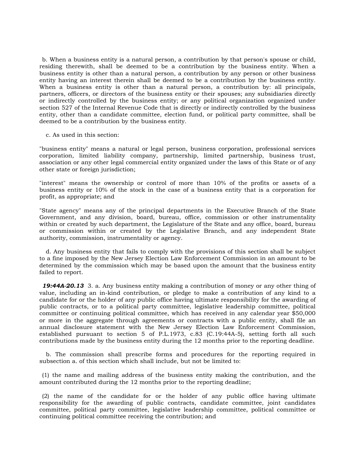b. When a business entity is a natural person, a contribution by that person's spouse or child, residing therewith, shall be deemed to be a contribution by the business entity. When a business entity is other than a natural person, a contribution by any person or other business entity having an interest therein shall be deemed to be a contribution by the business entity. When a business entity is other than a natural person, a contribution by: all principals, partners, officers, or directors of the business entity or their spouses; any subsidiaries directly or indirectly controlled by the business entity; or any political organization organized under section 527 of the Internal Revenue Code that is directly or indirectly controlled by the business entity, other than a candidate committee, election fund, or political party committee, shall be deemed to be a contribution by the business entity.

c. As used in this section:

"business entity" means a natural or legal person, business corporation, professional services corporation, limited liability company, partnership, limited partnership, business trust, association or any other legal commercial entity organized under the laws of this State or of any other state or foreign jurisdiction;

"interest" means the ownership or control of more than 10% of the profits or assets of a business entity or 10% of the stock in the case of a business entity that is a corporation for profit, as appropriate; and

"State agency" means any of the principal departments in the Executive Branch of the State Government, and any division, board, bureau, office, commission or other instrumentality within or created by such department, the Legislature of the State and any office, board, bureau or commission within or created by the Legislative Branch, and any independent State authority, commission, instrumentality or agency.

 d. Any business entity that fails to comply with the provisions of this section shall be subject to a fine imposed by the New Jersey Election Law Enforcement Commission in an amount to be determined by the commission which may be based upon the amount that the business entity failed to report.

*19:44A-20.13* 3. a. Any business entity making a contribution of money or any other thing of value, including an in-kind contribution, or pledge to make a contribution of any kind to a candidate for or the holder of any public office having ultimate responsibility for the awarding of public contracts, or to a political party committee, legislative leadership committee, political committee or continuing political committee, which has received in any calendar year \$50,000 or more in the aggregate through agreements or contracts with a public entity, shall file an annual disclosure statement with the New Jersey Election Law Enforcement Commission, established pursuant to section 5 of P.L.1973, c.83 (C.19:44A-5), setting forth all such contributions made by the business entity during the 12 months prior to the reporting deadline.

 b. The commission shall prescribe forms and procedures for the reporting required in subsection a. of this section which shall include, but not be limited to:

(1) the name and mailing address of the business entity making the contribution, and the amount contributed during the 12 months prior to the reporting deadline;

(2) the name of the candidate for or the holder of any public office having ultimate responsibility for the awarding of public contracts, candidate committee, joint candidates committee, political party committee, legislative leadership committee, political committee or continuing political committee receiving the contribution; and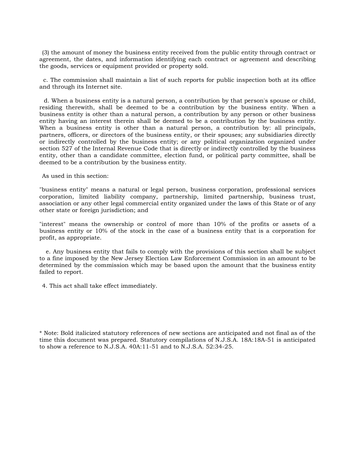(3) the amount of money the business entity received from the public entity through contract or agreement, the dates, and information identifying each contract or agreement and describing the goods, services or equipment provided or property sold.

 c. The commission shall maintain a list of such reports for public inspection both at its office and through its Internet site.

d. When a business entity is a natural person, a contribution by that person's spouse or child, residing therewith, shall be deemed to be a contribution by the business entity. When a business entity is other than a natural person, a contribution by any person or other business entity having an interest therein shall be deemed to be a contribution by the business entity. When a business entity is other than a natural person, a contribution by: all principals, partners, officers, or directors of the business entity, or their spouses; any subsidiaries directly or indirectly controlled by the business entity; or any political organization organized under section 527 of the Internal Revenue Code that is directly or indirectly controlled by the business entity, other than a candidate committee, election fund, or political party committee, shall be deemed to be a contribution by the business entity.

As used in this section:

"business entity" means a natural or legal person, business corporation, professional services corporation, limited liability company, partnership, limited partnership, business trust, association or any other legal commercial entity organized under the laws of this State or of any other state or foreign jurisdiction; and

"interest" means the ownership or control of more than 10% of the profits or assets of a business entity or 10% of the stock in the case of a business entity that is a corporation for profit, as appropriate.

 e. Any business entity that fails to comply with the provisions of this section shall be subject to a fine imposed by the New Jersey Election Law Enforcement Commission in an amount to be determined by the commission which may be based upon the amount that the business entity failed to report.

4. This act shall take effect immediately.

\* Note: Bold italicized statutory references of new sections are anticipated and not final as of the time this document was prepared. Statutory compilations of N.J.S.A. 18A:18A-51 is anticipated to show a reference to N.J.S.A. 40A:11-51 and to N.J.S.A. 52:34-25.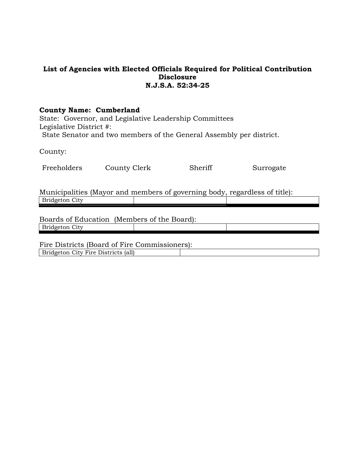# **List of Agencies with Elected Officials Required for Political Contribution Disclosure N.J.S.A. 52:34-25**

## **County Name: Cumberland**

State: Governor, and Legislative Leadership Committees Legislative District #: State Senator and two members of the General Assembly per district.

County:

| Freeholders | County Clerk | Sheriff | Surrogate |
|-------------|--------------|---------|-----------|
|-------------|--------------|---------|-----------|

Municipalities (Mayor and members of governing body, regardless of title): Bridgeton City

Boards of Education (Members of the Board): Bridgeton City

Fire Districts (Board of Fire Commissioners): Bridgeton City Fire Districts (all)